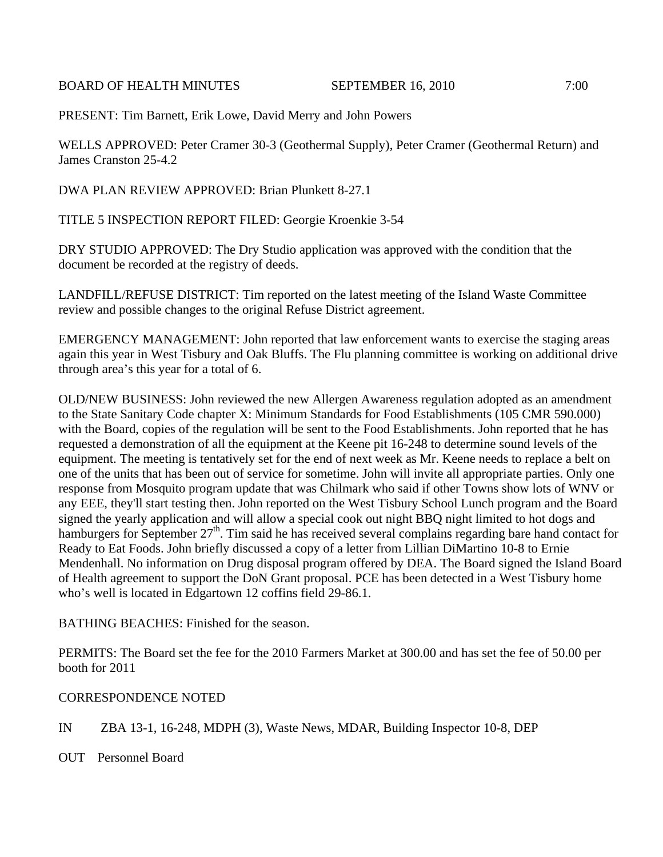BOARD OF HEALTH MINUTES SEPTEMBER 16, 2010 7:00

PRESENT: Tim Barnett, Erik Lowe, David Merry and John Powers

WELLS APPROVED: Peter Cramer 30-3 (Geothermal Supply), Peter Cramer (Geothermal Return) and James Cranston 25-4.2

DWA PLAN REVIEW APPROVED: Brian Plunkett 8-27.1

TITLE 5 INSPECTION REPORT FILED: Georgie Kroenkie 3-54

DRY STUDIO APPROVED: The Dry Studio application was approved with the condition that the document be recorded at the registry of deeds.

LANDFILL/REFUSE DISTRICT: Tim reported on the latest meeting of the Island Waste Committee review and possible changes to the original Refuse District agreement.

EMERGENCY MANAGEMENT: John reported that law enforcement wants to exercise the staging areas again this year in West Tisbury and Oak Bluffs. The Flu planning committee is working on additional drive through area's this year for a total of 6.

OLD/NEW BUSINESS: John reviewed the new Allergen Awareness regulation adopted as an amendment to the State Sanitary Code chapter X: Minimum Standards for Food Establishments (105 CMR 590.000) with the Board, copies of the regulation will be sent to the Food Establishments. John reported that he has requested a demonstration of all the equipment at the Keene pit 16-248 to determine sound levels of the equipment. The meeting is tentatively set for the end of next week as Mr. Keene needs to replace a belt on one of the units that has been out of service for sometime. John will invite all appropriate parties. Only one response from Mosquito program update that was Chilmark who said if other Towns show lots of WNV or any EEE, they'll start testing then. John reported on the West Tisbury School Lunch program and the Board signed the yearly application and will allow a special cook out night BBQ night limited to hot dogs and hamburgers for September 27<sup>th</sup>. Tim said he has received several complains regarding bare hand contact for Ready to Eat Foods. John briefly discussed a copy of a letter from Lillian DiMartino 10-8 to Ernie Mendenhall. No information on Drug disposal program offered by DEA. The Board signed the Island Board of Health agreement to support the DoN Grant proposal. PCE has been detected in a West Tisbury home who's well is located in Edgartown 12 coffins field 29-86.1.

BATHING BEACHES: Finished for the season.

PERMITS: The Board set the fee for the 2010 Farmers Market at 300.00 and has set the fee of 50.00 per booth for 2011

## CORRESPONDENCE NOTED

IN ZBA 13-1, 16-248, MDPH (3), Waste News, MDAR, Building Inspector 10-8, DEP

OUT Personnel Board